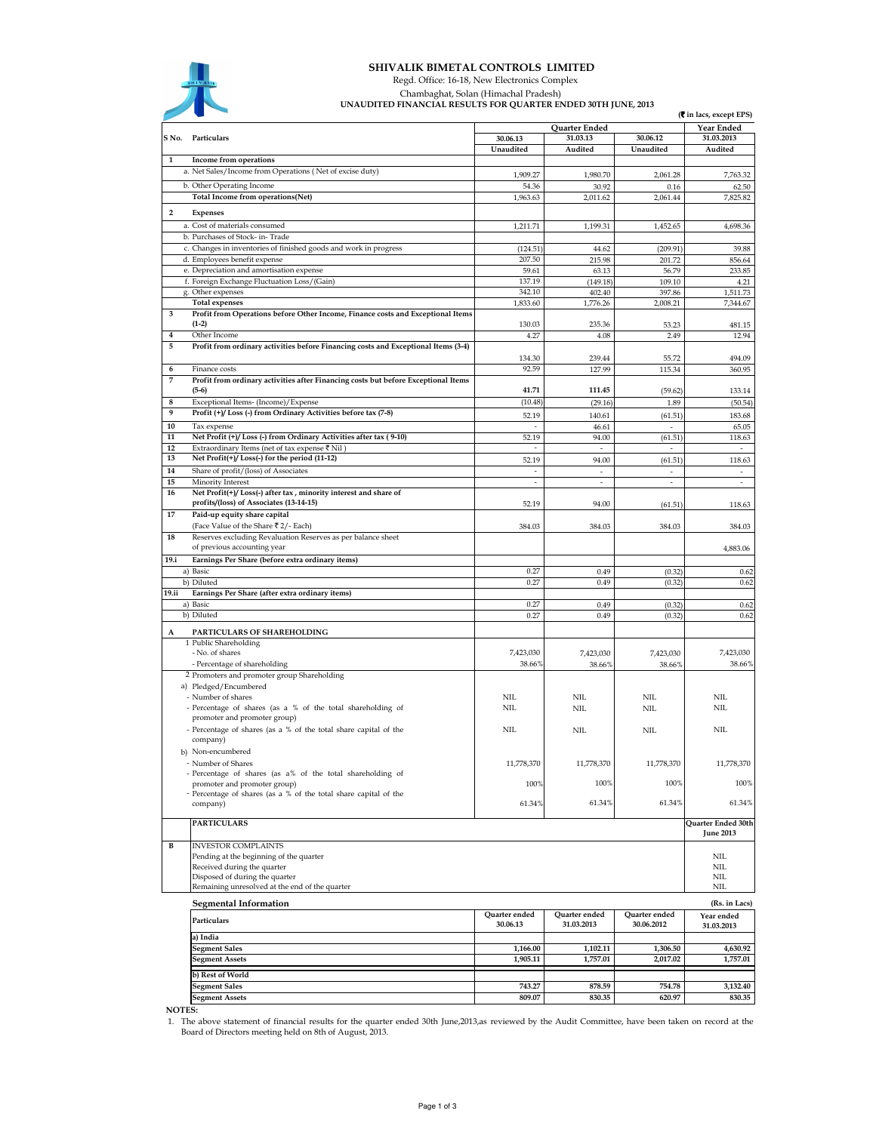

## SHIVALIK BIMETAL CONTROLS LIMITED

 Regd. Office: 16-18, New Electronics Complex Chambaghat, Solan (Himachal Pradesh)

UNAUDITED FINANCIAL RESULTS FOR QUARTER ENDED 30TH JUNE, 2013

|                |                                                                                                  | ennebitleb thwn center resolution on Quint en endeb solit juint, 2013<br>(रैं in lacs, except EPS) |                                   |                                     |                                        |
|----------------|--------------------------------------------------------------------------------------------------|----------------------------------------------------------------------------------------------------|-----------------------------------|-------------------------------------|----------------------------------------|
|                |                                                                                                  |                                                                                                    | Quarter Ended                     |                                     | <b>Year Ended</b>                      |
|                | S No. Particulars                                                                                | 30.06.13<br>Unaudited                                                                              | 31.03.13<br>Audited               | 30.06.12<br>Unaudited               | 31.03.2013<br>Audited                  |
| 1              | Income from operations                                                                           |                                                                                                    |                                   |                                     |                                        |
|                | a. Net Sales/Income from Operations (Net of excise duty)                                         | 1,909.27                                                                                           | 1,980.70                          | 2,061.28                            | 7,763.32                               |
|                | b. Other Operating Income                                                                        | 54.36                                                                                              | 30.92                             | 0.16                                | 62.50                                  |
|                | Total Income from operations(Net)                                                                | 1,963.63                                                                                           | 2,011.62                          | 2,061.44                            | 7,825.82                               |
| $\overline{2}$ | <b>Expenses</b>                                                                                  |                                                                                                    |                                   |                                     |                                        |
|                | a. Cost of materials consumed                                                                    | 1,211.71                                                                                           | 1,199.31                          | 1,452.65                            | 4,698.36                               |
|                | b. Purchases of Stock- in-Trade                                                                  |                                                                                                    |                                   |                                     |                                        |
|                | c. Changes in inventories of finished goods and work in progress                                 | (124.51)                                                                                           | 44.62                             | (209.91)                            | 39.88                                  |
|                | d. Employees benefit expense                                                                     | 207.50                                                                                             | 215.98                            | 201.72                              | 856.64                                 |
|                | e. Depreciation and amortisation expense                                                         | 59.61                                                                                              | 63.13                             | 56.79                               | 233.85                                 |
|                | f. Foreign Exchange Fluctuation Loss/(Gain)<br>g. Other expenses                                 | 137.19<br>342.10                                                                                   | (149.18)<br>402.40                | 109.10<br>397.86                    | 4.21<br>1,511.73                       |
|                | <b>Total expenses</b>                                                                            | 1,833.60                                                                                           | 1,776.26                          | 2,008.21                            | 7,344.67                               |
| 3              | Profit from Operations before Other Income, Finance costs and Exceptional Items                  |                                                                                                    |                                   |                                     |                                        |
|                | $(1-2)$                                                                                          | 130.03                                                                                             | 235.36                            | 53.23                               | 481.15                                 |
| 4              | Other Income                                                                                     | 4.27                                                                                               | 4.08                              | 2.49                                | 12.94                                  |
| 5              | Profit from ordinary activities before Financing costs and Exceptional Items (3-4)               |                                                                                                    |                                   |                                     |                                        |
| 6              | Finance costs                                                                                    | 134.30<br>92.59                                                                                    | 239.44                            | 55.72                               | 494.09                                 |
| 7              | Profit from ordinary activities after Financing costs but before Exceptional Items               |                                                                                                    | 127.99                            | 115.34                              | 360.95                                 |
|                | $(5-6)$                                                                                          | 41.71                                                                                              | 111.45                            | (59.62)                             | 133.14                                 |
| 8              | Exceptional Items- (Income)/ Expense                                                             | (10.48)                                                                                            | (29.16)                           | 1.89                                | (50.54)                                |
| 9              | Profit (+)/Loss (-) from Ordinary Activities before tax (7-8)                                    | 52.19                                                                                              | 140.61                            | (61.51)                             | 183.68                                 |
| 10             | Tax expense                                                                                      |                                                                                                    | 46.61                             |                                     | 65.05                                  |
| 11             | Net Profit (+)/ Loss (-) from Ordinary Activities after tax (9-10)                               | 52.19                                                                                              | 94.00                             | (61.51)                             | 118.63                                 |
| 12<br>13       | Extraordinary Items (net of tax expense ₹ Nil<br>Net Profit(+)/Loss(-) for the period (11-12)    |                                                                                                    |                                   |                                     |                                        |
| 14             | Share of profit/(loss) of Associates                                                             | 52.19<br>÷,                                                                                        | 94.00<br>$\overline{\phantom{a}}$ | (61.51)<br>$\overline{\phantom{a}}$ | 118.63<br>$\sim$                       |
| 15             | Minority Interest                                                                                |                                                                                                    |                                   | ä,                                  |                                        |
| 16             | Net Profit(+)/Loss(-) after tax, minority interest and share of                                  |                                                                                                    |                                   |                                     |                                        |
|                | profits/(loss) of Associates (13-14-15)                                                          | 52.19                                                                                              | 94.00                             | (61.51)                             | 118.63                                 |
| 17             | Paid-up equity share capital                                                                     |                                                                                                    |                                   |                                     |                                        |
|                | (Face Value of the Share ₹2/- Each)                                                              | 384.03                                                                                             | 384.03                            | 384.03                              | 384.03                                 |
| 18             | Reserves excluding Revaluation Reserves as per balance sheet<br>of previous accounting year      |                                                                                                    |                                   |                                     | 4,883.06                               |
| 19.i           | Earnings Per Share (before extra ordinary items)                                                 |                                                                                                    |                                   |                                     |                                        |
|                | a) Basic                                                                                         | 0.27                                                                                               | 0.49                              | (0.32)                              | 0.62                                   |
|                | b) Diluted                                                                                       | 0.27                                                                                               | 0.49                              | (0.32)                              | 0.62                                   |
| <b>19.ii</b>   | Earnings Per Share (after extra ordinary items)                                                  |                                                                                                    |                                   |                                     |                                        |
|                | a) Basic                                                                                         | 0.27<br>0.27                                                                                       | 0.49                              | (0.32)                              | 0.62                                   |
|                | b) Diluted                                                                                       |                                                                                                    | 0.49                              | (0.32)                              | 0.62                                   |
| A              | PARTICULARS OF SHAREHOLDING                                                                      |                                                                                                    |                                   |                                     |                                        |
|                | 1 Public Shareholding<br>- No. of shares                                                         | 7,423,030                                                                                          |                                   |                                     | 7,423,030                              |
|                | - Percentage of shareholding                                                                     | 38.66%                                                                                             | 7,423,030<br>38.66%               | 7,423,030<br>38.66%                 | 38.66%                                 |
|                | 2 Promoters and promoter group Shareholding                                                      |                                                                                                    |                                   |                                     |                                        |
|                | a) Pledged/Encumbered                                                                            |                                                                                                    |                                   |                                     |                                        |
|                | - Number of shares                                                                               | <b>NIL</b>                                                                                         | NIL                               | <b>NIL</b>                          | NIL                                    |
|                | - Percentage of shares (as a % of the total shareholding of<br>promoter and promoter group)      | NIL                                                                                                | NIL                               | <b>NIL</b>                          | NIL                                    |
|                | - Percentage of shares (as a % of the total share capital of the                                 | <b>NIL</b>                                                                                         | NIL                               | <b>NIL</b>                          | NIL                                    |
|                | company)                                                                                         |                                                                                                    |                                   |                                     |                                        |
|                | b) Non-encumbered                                                                                |                                                                                                    |                                   |                                     |                                        |
|                | - Number of Shares                                                                               | 11,778,370                                                                                         | 11,778,370                        | 11,778,370                          | 11,778,370                             |
|                | - Percentage of shares (as a% of the total shareholding of                                       | 100%                                                                                               | 100%                              | 100%                                | 100%                                   |
|                | promoter and promoter group)<br>- Percentage of shares (as a % of the total share capital of the |                                                                                                    |                                   |                                     |                                        |
|                | company)                                                                                         | 61.34%                                                                                             | 61.34%                            | 61.34%                              | 61.34%                                 |
|                | <b>PARTICULARS</b>                                                                               |                                                                                                    |                                   |                                     |                                        |
|                |                                                                                                  |                                                                                                    |                                   |                                     | Quarter Ended 30th<br><b>June 2013</b> |
| B              | <b>INVESTOR COMPLAINTS</b>                                                                       |                                                                                                    |                                   |                                     |                                        |
|                | Pending at the beginning of the quarter                                                          |                                                                                                    |                                   |                                     | $\text{NIL}$                           |
|                | Received during the quarter                                                                      |                                                                                                    |                                   |                                     | <b>NIL</b>                             |
|                | Disposed of during the quarter                                                                   |                                                                                                    |                                   |                                     | $\mbox{NIL}$<br>NIL                    |
|                | Remaining unresolved at the end of the quarter                                                   |                                                                                                    |                                   |                                     |                                        |
|                | <b>Segmental Information</b>                                                                     |                                                                                                    |                                   |                                     | (Rs. in Lacs)                          |
|                | Particulars                                                                                      | Quarter ended<br>30.06.13                                                                          | Quarter ended<br>31.03.2013       | Quarter ended<br>30.06.2012         | Year ended<br>31.03.2013               |
|                | a) India                                                                                         |                                                                                                    |                                   |                                     |                                        |
|                | <b>Segment Sales</b>                                                                             | 1,166.00                                                                                           | 1,102.11                          | 1,306.50                            | 4,630.92                               |
|                | <b>Segment Assets</b>                                                                            | 1,905.11                                                                                           | 1,757.01                          | 2,017.02                            | 1,757.01                               |
|                | b) Rest of World                                                                                 |                                                                                                    |                                   |                                     |                                        |
|                | <b>Segment Sales</b>                                                                             | 743.27                                                                                             | 878.59                            | 754.78                              | 3,132.40                               |
|                | <b>Segment Assets</b>                                                                            | 809.07                                                                                             | 830.35                            | 620.97                              | 830.35                                 |

NOTES:

1. The above statement of financial results for the quarter ended 30th June,2013,as reviewed by the Audit Committee, have been taken on record at the Board of Directors meeting held on 8th of August, 2013.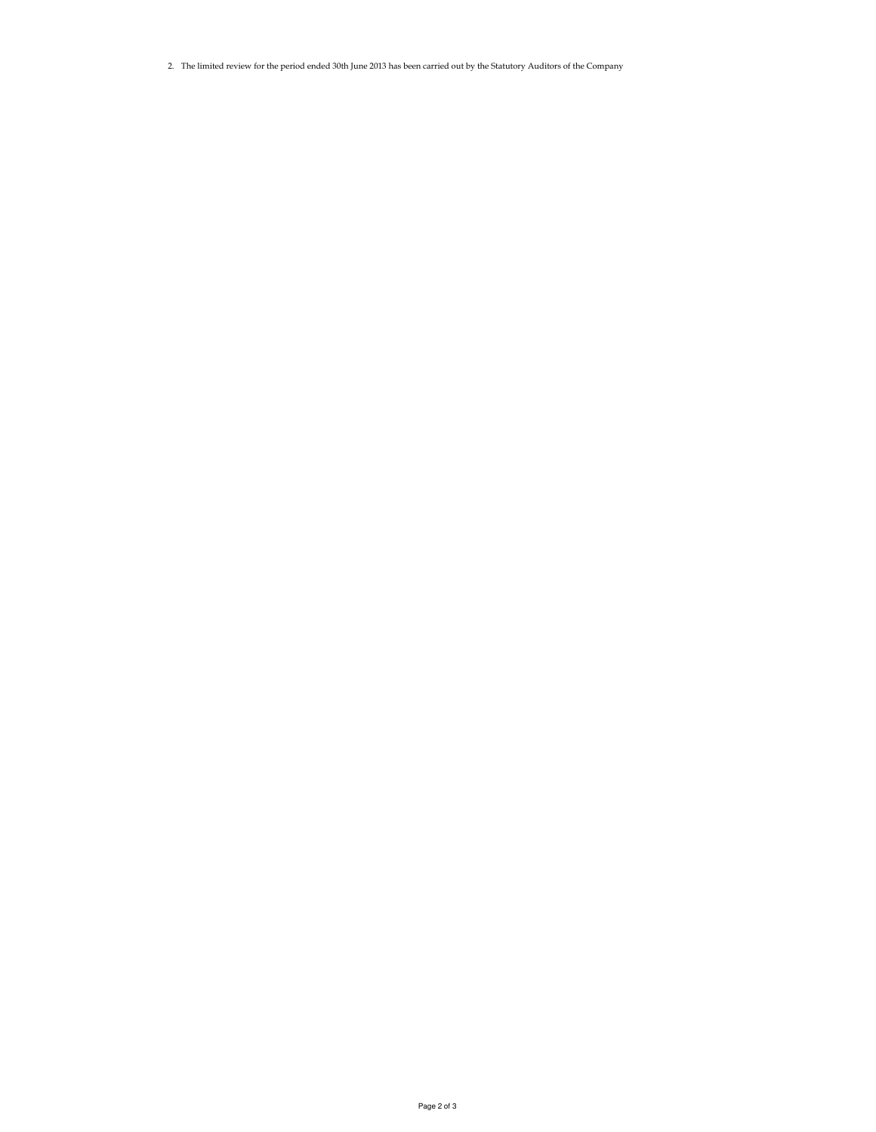2. The limited review for the period ended 30th June 2013 has been carried out by the Statutory Auditors of the Company